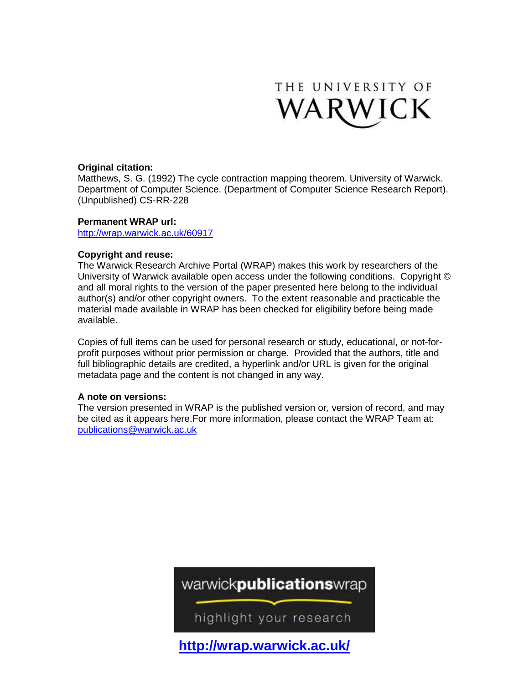

### **Original citation:**

Matthews, S. G. (1992) The cycle contraction mapping theorem. University of Warwick. Department of Computer Science. (Department of Computer Science Research Report). (Unpublished) CS-RR-228

### **Permanent WRAP url:**

<http://wrap.warwick.ac.uk/60917>

### **Copyright and reuse:**

The Warwick Research Archive Portal (WRAP) makes this work by researchers of the University of Warwick available open access under the following conditions. Copyright © and all moral rights to the version of the paper presented here belong to the individual author(s) and/or other copyright owners. To the extent reasonable and practicable the material made available in WRAP has been checked for eligibility before being made available.

Copies of full items can be used for personal research or study, educational, or not-forprofit purposes without prior permission or charge. Provided that the authors, title and full bibliographic details are credited, a hyperlink and/or URL is given for the original metadata page and the content is not changed in any way.

### **A note on versions:**

The version presented in WRAP is the published version or, version of record, and may be cited as it appears here.For more information, please contact the WRAP Team at: [publications@warwick.ac.uk](mailto:publications@warwick.ac.uk)

# warwickpublicationswrap

highlight your research

**<http://wrap.warwick.ac.uk/>**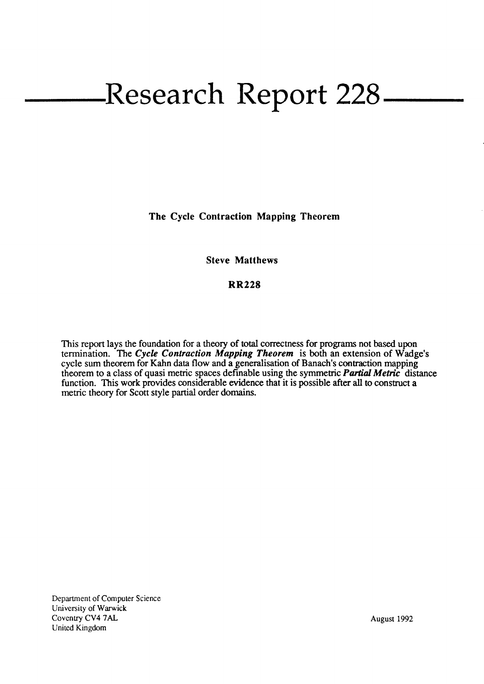# Research Report 228<sub>–</sub>

The Cycle Contraction Mapping Theorem

# Steve Matthews

## RR228

This report lays the foundation for a theory of total correctness for programs not based upon termination. The Cycle Contraction Mapping Theorem is both an extension of Wadge's cycle sum theorem for Kahn data flow and a generalisation of Banach's contraction mapping theorem to a class of quasi metric spaces definable using the symmetric **Partial Metric** distance function. This work provides considerable widence that it is possible after all to construct a metric theory for Scott style partial order domains.

Department of Computer Science University of Warwick Coventry CV4 7AL United Kingdom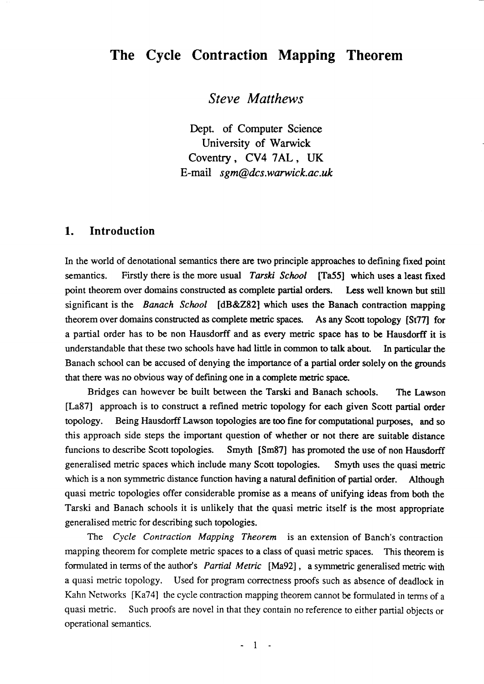# The Cycle Contraction Mapping Theorem

Steve Matthews

Dept. of Computer Science University of Warwick Coventry, CV4 7AL, UK E-mail sgm@dcs.warwick.ac.uk

# 1. Introduction

In the world of denotational semantics there are two principle approaches to defining fixed point semantics. Firstly there is the more usual Tarski School [Ta55] which uses a least fixed point theorem over domains constructed as complete partial orders. Less well known but still significant is the Banach School [dB&282] which uses the Banach contraction mapping theorem over domains constructed as complete metric spaces. As any Scott topology [St77] for a partial order has to be non Hausdorff and as every metric space has to be Hausdorff it is understandable that these two schools have had little in common to talk about. In particular the Banach school can be accused of denying the importance of a partial order solely on the grounds that there was no obvious way of defining one in a complete metric space.

Bridges can however be built between the Tarski and Banach schools. The Lawson [La87] approach is to construct a refined metric topology for each given Scott partial order topology. Being Hausdorff lawson topologies are too fine for computational purposcs, and so this approach side steps the important question of whether or not there are suitable distance funcions to describe Scott topologies. Smyth [Sm87] has promoted the use of non Hausdorff generalised metric spaces which include many Scott topologies. Smyth uses the quasi metric which is a non symmetric distance function having a natural definition of partial order. Although quasi metric topologies offer considerable promise as a means of unifying ideas from both the Tarski and Banach schools it is unlikely that the quasi metric itself is the most appropriate generalised metric for describing such topologies.

The Cycle Contraction Mapping Theorem is an extension of Banch's contraction mapping theorem for complete metric spaces to a class of quasi metric spaces. This theorem is formulated in terms of the author's Partial Metric [Ma92], a symmetric generalised metric with a quasi metric topology. Used for program correctness proofs such as absence of deadlock in Kahn Networks [Ka74] the cycle contraction mapping theorem cannot be formulated in terms of <sup>a</sup> quasi metric. Such proofs are novel in that they contain no reference to either partial objects or operational semantics.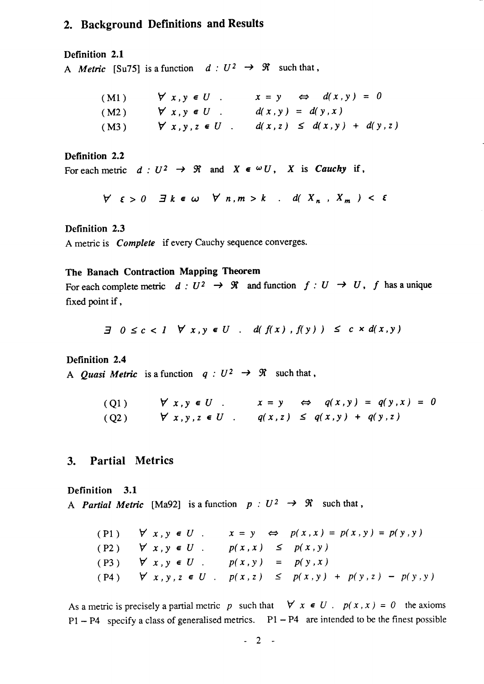# 2. Background Definitions and Results

### Definition 2.1

A Metric [Su75] is a function  $d:U^2 \to \mathcal{R}$  such that,

| (M1) | $\forall x, y \in U$ .    | $x = y \Leftrightarrow d(x, y) = 0$ |
|------|---------------------------|-------------------------------------|
| (M2) | $\forall x, y \in U$ .    | $d(x, y) = d(y, x)$                 |
| (M3) | $\forall x, y, z \in U$ . | $d(x, z) \leq d(x, y) + d(y, z)$    |

### Definition 2.2

For each metric  $d:U^2 \to \mathfrak{R}$  and  $X \in \omega U$ , X is Cauchy if,

 $\forall$   $\varepsilon > 0$   $\exists$   $k \in \omega$   $\forall$   $n, m > k$  .  $d(X_n, X_m) < \varepsilon$ 

### Definition 2.3

<sup>A</sup>metric is Complete if every Cauchy sequence converges.

### The Banach Contraction Mapping Theorem

For each complete metric  $d: U^2 \to \mathcal{R}$  and function  $f: U \to U$ , f has a unique fixed point if,

$$
\exists \quad 0 \leq c < 1 \quad \forall \ x, y \in U \quad . \quad d(f(x), f(y)) \leq c \times d(x, y)
$$

### Definition 2.4

A *Quasi Metric* is a function  $q: U^2 \rightarrow \mathcal{R}$  such that,

(Q1)  $\forall x, y \in U$   $x = y \Leftrightarrow q(x, y) = q(y, x) = 0$ (Q2)  $\forall x, y, z \in U$   $q(x, z) \leq q(x, y) + q(y, z)$ 

# 3. Partial Metrics

Definition 3.1 A *Partial Metric* [Ma92] is a function  $p : U^2 \rightarrow \mathcal{R}$  such that,

|                                                      |                        | (P1) $\forall x, y \in U$ . $x = y \Leftrightarrow p(x, x) = p(x, y) = p(y, y)$ |
|------------------------------------------------------|------------------------|---------------------------------------------------------------------------------|
| $(P2)$ $\forall$ $x, y \in U$ .                      | $p(x, x) \leq p(x, y)$ |                                                                                 |
| $p( P3 )$ $\forall x, y \in U$ . $p(x, y) = p(y, x)$ |                        |                                                                                 |
|                                                      |                        | $p(x, y)$ $\forall x, y, z \in U$ . $p(x, z) \leq p(x, y) + p(y, z) - p(y, y)$  |

As a metric is precisely a partial metric p such that  $\forall x \in U$ .  $p(x, x) = 0$  the axioms  $P1 - P4$  specify a class of generalised metrics.  $P1 - P4$  are intended to be the finest possible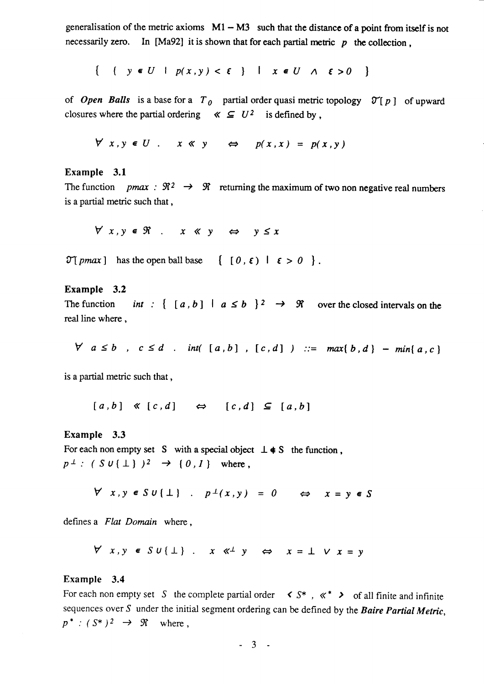generalisation of the metric axioms  $M1 - M3$  such that the distance of a point from itself is not necessarily zero. In [Ma92] it is shown that for each partial metric  $p$  the collection,

 $\{ \{ y \in U \mid p(x,y) < \varepsilon \} \mid x \in U \land \varepsilon > 0 \}$ 

of Open Balls is a base for a  $T_{0}$  partial order quasi metric topology  $\mathcal{T}[p]$  of upward closures where the partial ordering  $\ll \subseteq U^2$  is defined by,

 $\forall x, y \in U$  .  $x \ll y \Leftrightarrow p(x, x) = p(x, y)$ 

### Example 3.1

The function pmax :  $\mathfrak{R}^2 \rightarrow \mathfrak{R}$  returning the maximum of two non negative real numbers is a partial metric such that ,

 $\forall x, y \in \Re$  .  $x \ll y \Leftrightarrow y \leq x$ 

 $\mathfrak{I}[\text{pmax}]$  has the open ball base  $\{ [0, \varepsilon) | \varepsilon > 0 \}$ .

### Example 3.2

The function int:  $\{ [a, b] | a \le b \}^2 \rightarrow \mathcal{R}$  over the closed intervals on the real line where ,

 $\forall a \leq b$ ,  $c \leq d$  . int([a,b], [c,d]) ::= max{b,d} - min{a,c}

is a partial metric such that ,

 $[a, b] \ll [c, d] \Leftrightarrow [c, d] \subseteq [a, b]$ 

### Example 3.3

For each non empty set S with a special object  $\perp \neq S$  the function.  $p^{\perp}$ : (Su{ $\perp$ })<sup>2</sup>  $\rightarrow$  {0,1} where,

 $\forall x, y \in S \cup \{\bot\}$  .  $p^{\perp}(x,y) = 0$   $\Leftrightarrow$   $x = y \in S$ 

defines a Flat Domain where.

 $\forall x,y \in SU(\perp)$   $x \ll^{\perp} y \Leftrightarrow x = \perp \vee x = y$ 

#### Example 3.4

For each non empty set S the complete partial order  $\leq S^*$ ,  $\ll^*$   $\geq$  of all finite and infinite sequences over  $S$  under the initial segment ordering can be defined by the *Baire Partial Metric*,  $p^*$  :  $(S^*)^2 \rightarrow \Re$  where,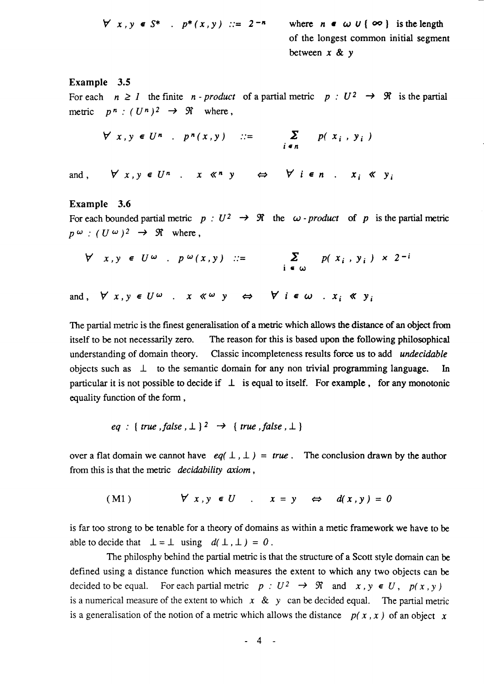$$
\forall x, y \in S^* \quad p^*(x, y) \ ::= 2^{-n} \quad \text{where} \quad n \in \omega \cup \{ \infty \} \quad \text{is the length} \quad \text{of the longest common initial segment} \quad \text{between } x \& y
$$

### Example 3.5

For each  $n \geq 1$  the finite n-product of a partial metric  $p: U^2 \to \mathcal{R}$  is the partial metric  $p^n$ :  $(U^n)^2 \rightarrow \mathcal{R}$  where,

$$
\forall x, y \in U^n \quad p^n(x, y) \quad ::= \qquad \sum_{i \in n} p(x_i, y_i)
$$

and,  $\forall x, y \in U^n$  x  $\langle x, y \rangle \Leftrightarrow \forall i \in n$  x;  $\langle x, y \rangle$ 

#### Example 3.6

For each bounded partial metric  $p : U^2 \rightarrow \mathcal{R}$  the  $\omega$ -product of p is the partial metric  $p(\omega) : (U(\omega))^2 \rightarrow \mathcal{R}$  where,

$$
\forall x, y \in U^{\omega} \text{ . } p^{\omega}(x, y) \ ::= \sum_{i \in \omega} p(x_i, y_i) \times 2^{-i}
$$

and,  $\forall x, y \in U^{\omega}$ .  $x \ll^{\omega} y \Leftrightarrow \forall i \in \omega$ .  $x_i \ll y_i$ 

The partial metric is the finest generalisation of a metric which allows the distance of an object from itself to be not necessarily zero. The reason for this is based upon the following philosophical understanding of domain theory. Classic incompleteness results force us to add *undecidable* objects such as  $\perp$  to the semantic domain for any non trivial programming language. In particular it is not possible to decide if  $\perp$  is equal to itself. For example, for any monotonic equality function of the form,

$$
eq : \{ \text{ true }, \text{ false }, \perp \}^2 \rightarrow \{ \text{ true }, \text{ false }, \perp \}
$$

over a flat domain we cannot have  $eq(\perp,\perp) = true$ . The conclusion drawn by the author from this is that the metric  $decidability$  axiom,

(Ml ) Vx,ye(J x=! a d(x,y)=0

is far too strong to be tenable for a theory of domains as within a metic framework we have to be able to decide that  $\bot = \bot$  using  $d(\bot, \bot) = 0$ .

The philosphy behind the partial metric is that the structure of a Scott style domain can be defined using a distance function which measures the extent to which any two objects can be decided to be equal. For each partial metric  $p:U^2 \to \mathcal{R}$  and  $x, y \in U$ ,  $p(x, y)$ is a numerical measure of the extent to which  $x \& y$  can be decided equal. The partial metric is a generalisation of the notion of a metric which allows the distance  $p(x, x)$  of an object x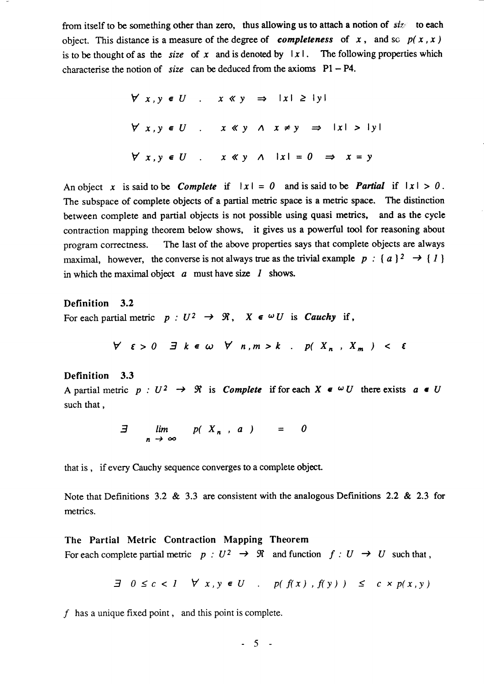from itself to be something other than zero, thus allowing us to attach a notion of  $siz \infty$  to each object. This distance is a measure of the degree of completeness of x, and so  $p(x, x)$ is to be thought of as the *size* of x and is denoted by  $|x|$ . The following properties which characterise the notion of size can be deduced from the axioms  $P1 - P4$ .

$$
\forall x, y \in U
$$
 x  $\langle y \rangle \Rightarrow |x| \ge |y|$   

$$
\forall x, y \in U
$$
 x  $\langle y \land x \neq y \Rightarrow |x| > |y|$   

$$
\forall x, y \in U
$$
 x  $\langle y \land |x| = 0 \Rightarrow x = y$ 

An object x is said to be *Complete* if  $|x| = 0$  and is said to be *Partial* if  $|x| > 0$ . The subspace of complete objects of a partial metric space is a metric space. The distinction between complete and partial objects is not possible using quasi metrics, and as the cycle contraction mapping theorem below shows, it gives us a powerful tool for reasoning about program correctness. The last of the above properties says that complete objects are always maximal, however, the converse is not always true as the trivial example  $p : \{a\}^2 \rightarrow \{1\}$ in which the maximal object  $a$  must have size  $l$  shows.

Definition 3.2 For each partial metric  $p : U^2 \to \mathcal{R}$ ,  $X \in \omega U$  is *Cauchy* if,

 $\forall$   $\varepsilon > 0$   $\exists$   $k \in \omega$   $\forall$   $n, m > k$  .  $p(X_n, X_m)$  <  $\varepsilon$ 

### Definition 3.3

A partial metric  $p: U^2 \to \mathcal{R}$  is *Complete* if for each  $X \in \omega U$  there exists  $a \in U$ such that,

> $\exists$   $\lim$   $p(X_n, a)$  $n \rightarrow$

that is, if every Cauchy sequence converges to a complete object.

Note that Definitions 3.2 & 3.3 are consistent with the analogous Definitions 2.2 & 2.3 for metrics.

### The Partial Metric Contraction Mapping Theorem

For each complete partial metric  $p:U^2 \to \mathcal{R}$  and function  $f:U \to U$  such that,

$$
\exists \quad 0 \leq c < 1 \quad \forall \quad x, y \in U \quad . \quad p(f(x), f(y)) \leq c \times p(x, y)
$$

 $f$  has a unique fixed point, and this point is complete.

 $-5$  -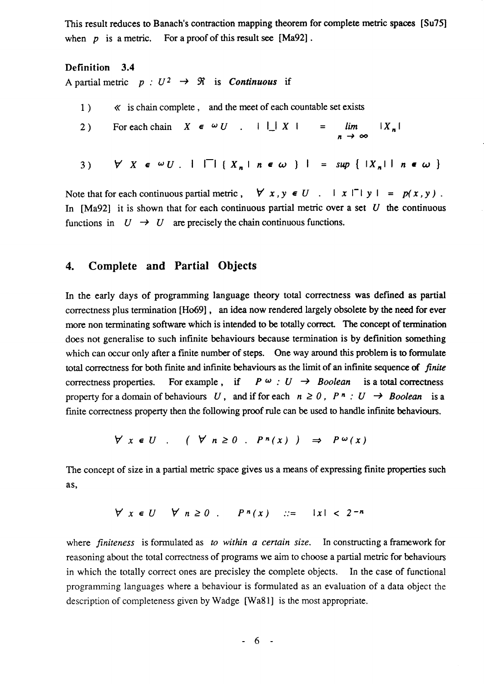This result reduces to Banach's contraction mapping theorem for complete metric spaces [Su75] when  $p$  is a metric. For a proof of this result see [Ma92].

# Definition 3.4 A partial metric  $p : U^2 \rightarrow \mathcal{R}$  is *Continuous* if

1) 2) For each chain  $X \in \omega U$  .  $\mathsf{L} \mathsf{L} X$  | = lim  $\ll$  is chain complete, and the meet of each countable set exists  $n \rightarrow$ 3)  $\forall X \in \omega U$ .  $|\Box| {X_n | n \in \omega}$  | = sup { $|X_n|$  | n  $\in \omega$  $|X_n|$ 

Note that for each continuous partial metric,  $\forall x, y \in U$ .  $|x| \cap |y| = p(x, y)$ . In [Ma92] it is shown that for each continuous partial metric over a set U the continuous functions in  $U \rightarrow U$  are precisely the chain continuous functions.

# 4. Complete and Partial Objects

In the early days of programming language theory total correctness was defined as partial correctness plus termination [Ho69] , an idea now rendered largely obsolete by the need for ever more non terminating software which is intended to be totally correct. The concept of termination does not generalise to such infinite behaviours because termination is by definition something which can occur only after a finite number of steps. One way around this problem is to formulate total correctness for both finite and infinite behaviours as the limit of an infinite sequence of finite correctness properties. For example, if  $P \omega : U \rightarrow Boolean$  is a total correctness property for a domain of behaviours U, and if for each  $n \ge 0$ ,  $P^n: U \rightarrow Boolean$  is a finite correctness property then the following proof rule can be used to handle infinite behaviours.

$$
\forall x \in U \quad ( \forall n \ge 0 \quad P^n(x) ) \Rightarrow P^{\omega}(x)
$$

The concept of size in a partial metric space gives us a means of expressing finite properties such as,

$$
\forall x \in U \quad \forall n \ge 0 \quad P^n(x) \quad ::= \quad |x| < 2^{-n}
$$

where finiteness is formulated as to within a certain size. In constructing a framework for reasoning about the total correctness of programs we aim to choose a partial metric for behaviours in which the totally correct ones are precisley the complete objects. In the case of functional programming languages where a behaviour is formulated as an evaluation of a data object the description of completeness given by Wadge [Wa81] is the most appropriate.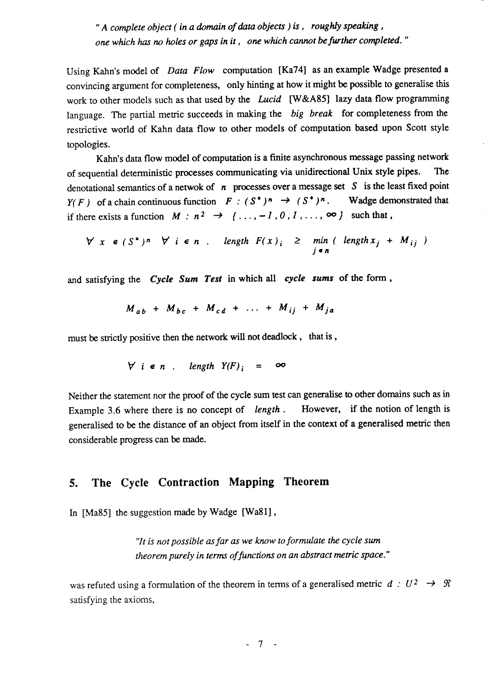" A complete object (in a domain of data objects) is, roughly speaking, one which has no holes or gaps in it, one which cannot be further completed."

Using Kahn's model of Data Flow computation [Ka74] as an example Wadge presented <sup>a</sup> convincing argument for completeness, only hinting at how it might be possible to generalise this work to other models such as that used by the Lucid [W&A85] lazy data flow programming language. The partial metric succeeds in making the big break for completeness from the restrictive world of Kahn data flow to other models of computation based upon Scott style topologies.

Kahn's data flow model of computation is a finite asynchronous message passing network of sequential deterrninistic processes cornmunicating via unidirectional Unix style pipes. The denotational semantics of a netwok of  $n$  processes over a message set S is the least fixed point  $Y(F)$  of a chain continuous function  $F : (S^*)^n \to (S^*)^n$ . Wadge demonstrated that if there exists a function  $M : n^2 \rightarrow \{ \ldots, -1, 0, 1, \ldots, \infty \}$  such that,

$$
\forall x \in (S^*)^n \quad \forall i \in n \quad length \ F(x)_i \geq \min_{j \in n} (length x_j + M_{ij})
$$

and satisfying the Cycle Sum Test in which all cycle sums of the form,

$$
M_{ab} + M_{bc} + M_{cd} + \ldots + M_{ij} + M_{ja}
$$

must be strictly positive then the network will not deadlock, that is,

$$
\forall i \in n . \quad length \quad Y(F)_i = \infty
$$

Neither the statement nor the proof of the cycle sum test can generalise to other domains such as in Example 3.6 where there is no concept of length. However, if the notion of length is generalised to be the distance of an object from itself in the context of a generalised metric then considerable progress can be made.

# 5. The Cycle Contraction Mapping Theorem

In [Ma85] the suggestion made by Wadge [Wa81],

"lt is not possible as far as we know to formulate the cycle sun theorem purely in terms of functions on an abstract metric space."

was refuted using a formulation of the theorem in terms of a generalised metric  $d : U^2 \rightarrow \mathcal{R}$ satisfying the axioms,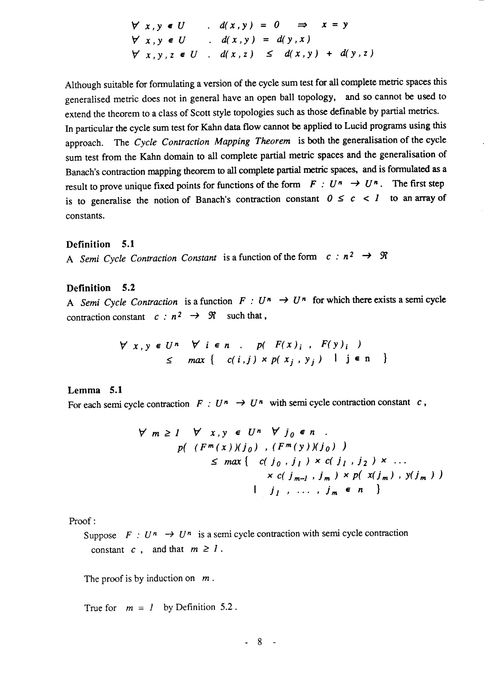$$
\begin{array}{rcl}\n\forall x, y \in U & . & d(x, y) = 0 \implies x = y \\
\forall x, y \in U & . & d(x, y) = d(y, x) \\
\forall x, y, z \in U & . & d(x, z) \leq d(x, y) + d(y, z)\n\end{array}
$$

Although suitable for formulating a version of the cycle sum test for all complete metric spaces this generalised meric does not in general have an open ball topology, and so cannot be used to extend the theorem to a class of Scott style topologies such as those definable by partial metrics. In particular the cycle sum test for Kahn data flow cannot be applied to Lucid programs using this approach. The Cycle Contraction Mapping Theorem is both the generalisation of the cycle sum test from the Kahn domain to all complete partial metric spaces and the generalisation of Banach's contraction mapping theorem to all complete partial metric spaces, and is formulated as a result to prove unique fixed points for functions of the form  $F : U^n \to U^n$ . The first step is to generalise the notion of Banach's contraction constant  $0 \leq c \leq 1$  to an array of constants.

### Definition 5.1

A Semi Cycle Contraction Constant is a function of the form  $c : n^2 \rightarrow \mathcal{R}$ 

### Definition 5.2

A Semi Cycle Contraction is a function  $F : U^n \to U^n$  for which there exists a semi cycle contraction constant  $c : n^2 \rightarrow \Re$  such that,

$$
\forall x, y \in U^n \quad \forall i \in n \quad p(\quad F(x)_i \quad F(y)_i \quad )
$$
  

$$
\leq \max \{ (c(i,j) \times p(x_i, y_j) \mid j \in n \} )
$$

### Lemma 5.1

For each semi cycle contraction  $F : U^n \to U^n$  with semi cycle contraction constant c,

$$
\forall m \ge 1 \quad \forall x, y \in U^n \quad \forall j_0 \in n
$$
  
\n
$$
p((F^m(x))(j_0), (F^m(y))(j_0))
$$
  
\n
$$
\le max \{ (c(j_0, j_1) \times c(j_1, j_2) \times ... \times c(j_{m-1}, j_m) \times p(x(j_m), y(j_m)) \}
$$
  
\n
$$
j_1, ..., j_m \in n
$$

Proof:

Suppose  $F : U^n \rightarrow U^n$  is a semi cycle contraction with semi cycle contraction constant c, and that  $m \ge 1$ .

The proof is by induction on  $m$ .

True for  $m = 1$  by Definition 5.2.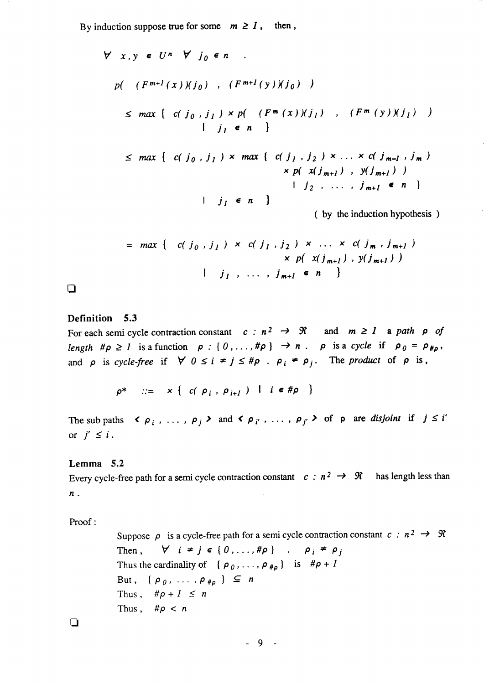By induction suppose true for some  $m \geq 1$ , then,

$$
\forall x, y \in U^n \forall j_0 \in n
$$
  
\n
$$
p( (F^{m+1}(x))(j_0) , (F^{m+1}(y))(j_0) )
$$
  
\n
$$
\leq max \{ c(j_0, j_1) \times p( (F^m(x))(j_1) , (F^m(y))(j_1) ) \}
$$
  
\n
$$
| j_1 \in n \}
$$
  
\n
$$
\leq max \{ c(j_0, j_1) \times max \{ c(j_1, j_2) \times ... \times c(j_{m-1}, j_m) \}
$$

$$
\leq max \{ c(j_0, j_1) \times max \{ c(j_1, j_2) \times ... \times c(j_{m-1}, j_m) \times p(x(j_{m+1}), y(j_{m+1})) \} \times p(x(j_{m+1}), y(j_{m+1})) \times j_2, ..., j_{m+1} \in n \}
$$

( by the induction hypothesis )

$$
= max \{ c(j_0, j_1) \times c(j_1, j_2) \times ... \times c(j_m, j_{m+1})
$$
  
 
$$
\times p(x(j_{m+1}), y(j_{m+1}))
$$
  
 
$$
j_1, ..., j_{m+1} \in n \}
$$

 $\Box$ 

### Definition 5.3

For each semi cycle contraction constant  $c: n^2 \rightarrow \Re$  and  $m \ge 1$  a path  $\rho$  of length  $\#\rho \ge 1$  is a function  $\rho : \{0,\ldots,\#\rho\} \to n$ .  $\rho$  is a cycle if  $\rho_0 = \rho_{\#\rho}$ , and  $\rho$  is cycle-free if  $\forall$   $0 \leq i \neq j \leq \#\rho$ .  $\rho_i \neq \rho_j$ . The product of  $\rho$  is,

$$
\rho^* \quad ::= \quad x \left\{ c \left( \rho_i, \rho_{i+1} \right) \mid i \in \mathcal{H} \rho \right\}
$$

The subpaths  $\langle \rho_i, \ldots, \rho_j \rangle$  and  $\langle \rho_i, \ldots, \rho_j \rangle$  of p are disjoint if  $j \leq i'$ or  $j' \leq i$ .

### Lemma 5.2

Every cycle-free path for a semi cycle contraction constant  $c : n^2 \rightarrow \mathcal{R}$  has length less than n.  $\sim$ 

Proof:

Suppose  $\rho$  is a cycle-free path for a semi cycle contraction constant  $c : n^2 \rightarrow \mathcal{R}$ Then,  $\forall i \neq j \in \{0, ..., \#\rho\}$  .  $\rho_i \neq \rho_j$ Thus the cardinality of  $\{\rho_0, \ldots, \rho_{\#_p}\}$  is  $\#_p + 1$ But,  $\{\rho_0, \ldots, \rho_{\#_p}\}\subseteq n$ Thus,  $\#\rho + 1 \leq n$ Thus,  $\#\rho < n$ 

 $\Box$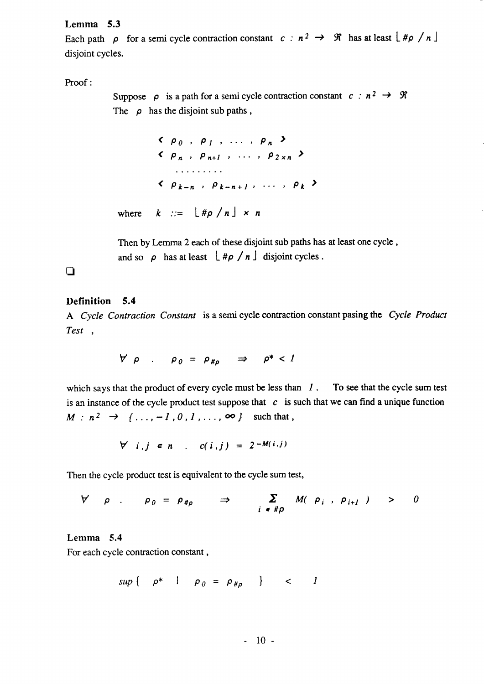### Lemma 5.3

Each path  $\rho$  for a semi cycle contraction constant  $c : n^2 \rightarrow \Re$  has at least  $\lfloor \frac{\#\rho}{n} \rfloor$ disjoint cycles.

# Proof :

Suppose  $\rho$  is a path for a semi cycle contraction constant  $c : n^2 \to \mathcal{R}$ The  $\rho$  has the disjoint sub paths,

 $\langle \rho_0, \rho_1, \ldots, \rho_n \rangle$  $\langle \rho_n, \rho_{n+l}, \ldots, \rho_{2 \times n} \rangle$ . . . . . . . . .  $\langle \rho_{k-n} \rangle$ ,  $\rho_{k-n+1}$ , ...,  $\rho_k$ where  $k := \lfloor \frac{\#p}{n} \rfloor \times n$ 

Then by Lemma 2 each of these disjoint sub paths has at least one cycle , and so  $\rho$  has at least  $\lfloor \frac{\#\rho}{n} \rfloor$  disjoint cycles.

# $\Box$

# Definition 5.4

A Cycle Contraction Constant is a semi cycle contraction constant pasing the Cycle Product Test ,

$$
\forall \rho \quad . \quad \rho_0 = \rho_{\# \rho} \quad \Rightarrow \quad \rho^* < 1
$$

which says that the product of every cycle must be less than  $I$ . To see that the cycle sum test is an instance of the cycle product test suppose that  $c$  is such that we can find a unique function  $M : n^2 \rightarrow \{ \ldots, -1, 0, 1, \ldots, \infty \}$  such that,

$$
\forall i,j \in n \quad . \quad c(i,j) = 2^{-M(i,j)}
$$

Then the cycle product test is equivalent to the cycle sum test,

$$
\forall \rho \qquad \rho_{0} = \rho_{\# \rho} \qquad \Rightarrow \qquad \sum_{i \in \# \rho} M(\rho_{i}, \rho_{i+1}) \qquad > \qquad 0
$$

### Lemma 5.4

For each cycle contraction constant ,

$$
sup \{ \rho^* \mid \rho_0 = \rho_{\# \rho} \} < I
$$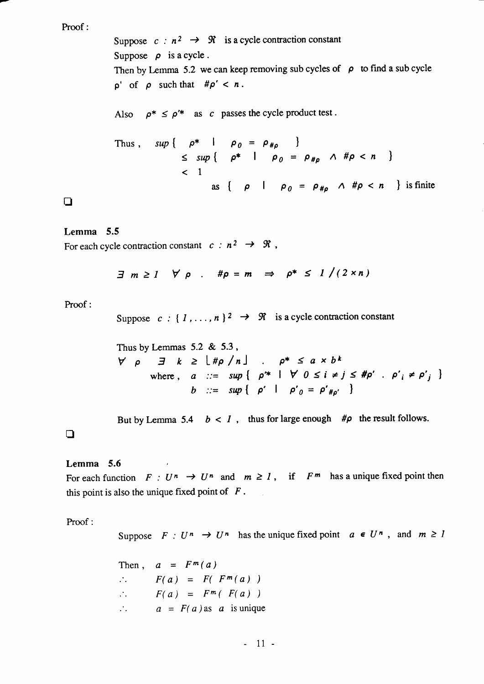### Proof :

Suppose  $c : n^2 \rightarrow \Re$  is a cycle contraction constant Suppose  $\rho$  is a cycle. Then by Lemma 5.2 we can keep removing sub cycles of  $\rho$  to find a sub cycle  $p'$  of  $\rho$  such that  $\#\rho' < n$ .

Also  $\rho^* \leq \rho'^*$  as c passes the cycle product test.

Thus, 
$$
\sup \{ \rho^* \mid \rho_0 = \rho_{\# \rho} \}
$$
  
\n $\leq \sup \{ \rho^* \mid \rho_0 = \rho_{\# \rho} \land \# \rho < n \}$   
\n $\lt$  1  
\nas  $\{ \rho \mid \rho_0 = \rho_{\# \rho} \land \# \rho < n \}$  is finite

 $\Box$ 

### Lemma 5.5

For each cycle contraction constant  $c : n^2 \rightarrow \mathcal{R}$ ,

$$
\exists m \geq 1 \quad \forall \rho \quad . \quad \# \rho = m \quad \Rightarrow \quad \rho^* \leq 1 \big/ (2 \times n)
$$

Proof :

Suppose  $c: \{ 1, \ldots, n \}^2 \rightarrow \mathcal{R}$  is a cycle contraction constant

Thus by Lemmas  $5.2 \& 5.3$ ,  $\forall \rho \quad \exists \quad k \geq \lfloor \text{#p} \ / \text{ } n$ where,  $a$  ::= sup  $\left\{ \begin{array}{ll} \rho^* & \vert \ \forall \ 0 \leq i \neq j \leq \#\rho' \end{array} \right.$   $\left. \rho'_i \neq \rho'_j \right.$ b ::= sup {  $\rho'$  |  $\rho'_{0} = \rho'_{\#_{0'}}$  }

But by Lemma 5.4  $b < 1$ , thus for large enough # $\rho$  the result follows.

### $\Box$

### Lemma 5.6

For each function  $F : U^n \to U^n$  and  $m \ge 1$ , if  $F^m$  has a unique fixed point then this point is also the unique fixed point of  $F$ .

Proof :

Suppose  $F: U^n \to U^n$  has the unique fixed point  $a \in U^n$ , and  $m \ge 1$ 

Then,  $a = F^m(a)$  $\therefore$   $F(a) = F(F<sup>m</sup>(a))$  $F(a) = F^{m}( F(a) )$  $\mathcal{L}_{\text{max}}$  $\therefore$   $a = F(a)$  as a is unique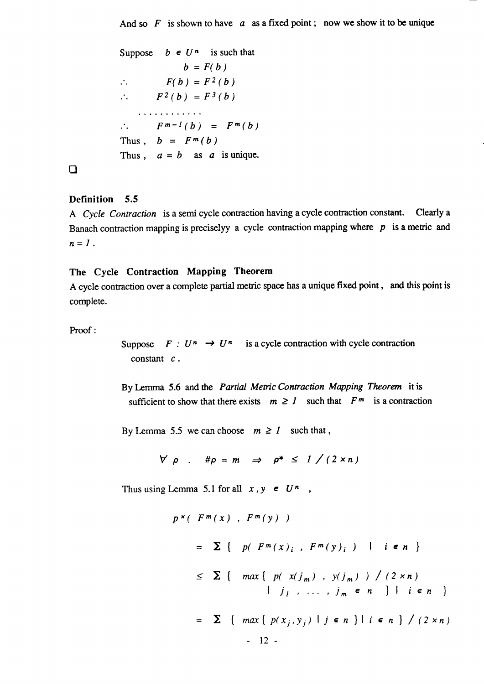And so  $F$  is shown to have  $a$  as a fixed point; now we show it to be unique

```
Suppose b \in U^n is such that
                  b = F(b)F(b) = F<sup>2</sup>(b)\mathcal{L}_{\mathcal{L}}F^2(b) = F^3(b)\mathcal{L}_{\text{max}}. . . . . . . . . . . .
          F^{m-1}(b) = F^{m}(b)\mathcal{L}_{\mathcal{A}}Thus, b = F^m(b)Thus, a = b as a is unique.
```
 $\Box$ 

## Definition 5.5

A Cycle Contraction is a semi cycle contraction having a cycle contraction constant. Clearly a Banach contraction mapping is preciselyy a cycle contraction mapping where  $p$  is a metric and  $n=1$ .

# The Cycle Contraction Mapping Theorem

A cycle contraction over a complete partial metric space has a unique fixed point, and this point is complete.

Proof :

Suppose  $F: U^n \to U^n$  is a cycle contraction with cycle contraction constant  $c$ .

By Lemma 5.6 and the *Partial Metric Contraction Mapping Theorem* it is sufficient to show that there exists  $m \ge 1$  such that  $F^m$  is a contraction

By Lemma 5.5 we can choose  $m \ge 1$  such that,

$$
\forall \rho : \# \rho = m \Rightarrow \rho^* \leq 1 \big/ (2 \times n)
$$

Thus using Lemma 5.1 for all  $x, y \in U^n$ ,

$$
p^{x} ( F^{m}(x) , F^{m}(y) )
$$
  
=  $\sum$  {  $p(F^{m}(x)_{i}, F^{m}(y)_{i})$  |  $i \in n$  }  
 $\leq \sum$  {  $max$  {  $p(x(j_{m}), y(j_{m})) / (2 \times n)$   
 $|j_{1}, \ldots, j_{m} \in n$  } |  $i \in n$  }  
=  $\sum$  {  $max$  {  $p(x_{j}, y_{j})$  |  $j \in n$  } |  $i \in n$  } / (2 \times n)  
- 12 -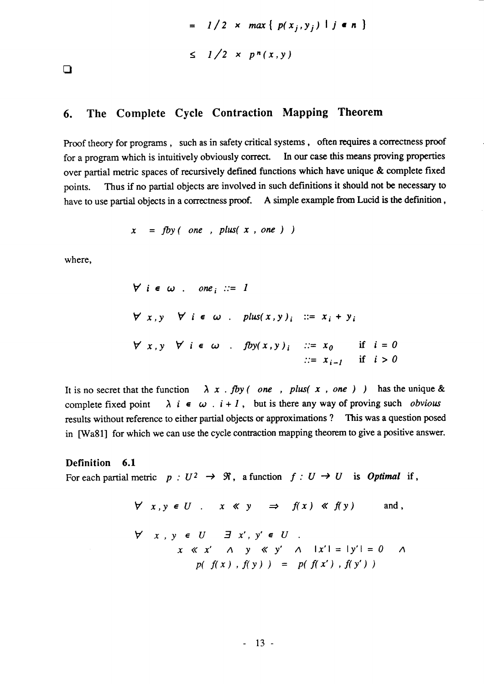$$
= 1/2 \times max \{ p(x_j, y_j) | j \in n \}
$$
  

$$
\leq 1/2 \times p^n(x, y)
$$

 $\Box$ 

# 6. The Complete Cycle Contraction Mapping Theorem

Proof theory for programs , such as in safety critical systems , often requires a correctness proof for a program which is intuitively obviously correct. In our case this means proving properties over partial metric spaces of recursively defined functions which have unique & complete fixed points. Thus if no partial objects are involved in such definitions it should not be necessary to have to use partial objects in a correctness proof. A simple example from Lucid is the definition,

$$
x = fby \ (\ one \ , \ plus \ (x \ , \ one \ )
$$

where,

 $\forall i \in \omega$  . one,  $\therefore = 1$  $\forall x, y \quad \forall i \in \omega$ . plus $(x, y)_i$  ::=  $x_i + y$  $\forall x, y \forall i \in \omega$  .  $fby(x, y)_i$  :  $x_0$  if  $i = 0$  $x_{i-1}$  if  $i > 0$ 

It is no secret that the function  $\lambda x$ . fby (one, plus( x, one) ) has the unique & complete fixed point  $\lambda$  i  $\epsilon$   $\omega$ .  $i+1$ , but is there any way of proving such obvious results without reference to either partial objects or approximations ? This was a question posed in [Wa81] for which we can use the cycle contraction mapping theorem to give a positive answer.

### Definition 6.1

For each partial metric  $p : U^2 \to \mathfrak{R}$ , a function  $f : U \to U$  is *Optimal* if,

$$
\forall x, y \in U \quad x \ll y \implies f(x) \ll f(y) \quad \text{and,}
$$
\n
$$
\forall x, y \in U \quad \exists x', y' \in U \quad \exists x', y' \in U \quad \forall x \ll x' \quad \land \quad y \ll y' \quad \land \quad |x'| = |y'| = 0 \quad \land \quad p(f(x), f(y)) = p(f(x'), f(y'))
$$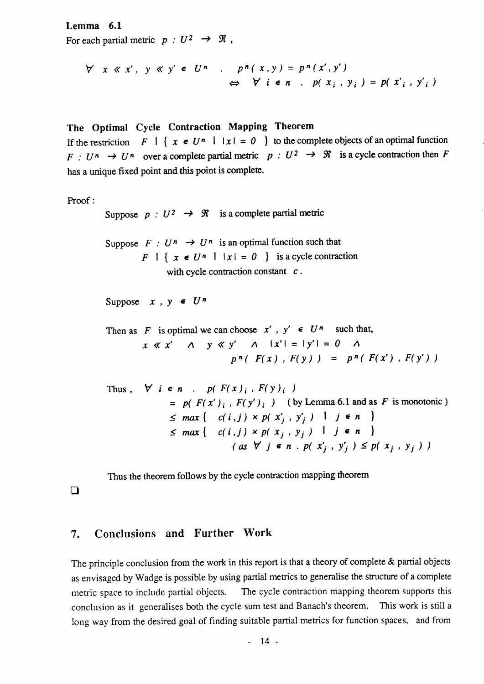### Lemma 6.1

For each partial metric  $p:U^2 \to \mathcal{R}$ ,

$$
\forall x \ll x', y \ll y' \in U^n \quad . \quad p^n(x, y) = p^n(x', y')
$$
  

$$
\Leftrightarrow \forall i \in n \quad . \quad p(x_i, y_i) = p(x'_i, y'_i)
$$

# The Optimal Cycle Contraction Mapping Theorem

If the restriction  $F \mid \{x \in U^n \mid |x| = 0 \}$  to the complete objects of an optimal function  $F: U^n \to U^n$  over a complete partial metric  $p: U^2 \to \mathcal{R}$  is a cycle contraction then F has a unique fixed point and this point is complete.

```
Proof:
```
Suppose  $p : U^2 \rightarrow \mathcal{R}$  is a complete partial metric

Suppose  $F : U^n \to U^n$  is an optimal function such that  $F \mid \{ x \in U^n \mid |x| = 0 \}$  is a cycle contraction with cycle contraction constant  $c$ .

Suppose  $x$ ,  $y \in U^n$ 

Then as F is optimal we can choose  $x'$ ,  $y' \in U^n$  such that,  $x \ll x'$  A  $y \ll y'$  A  $|x'| = |y'| = 0$  A  $p^{n} (F(x), F(y)) = p^{n} (F(x'), F(y'))$ 

Thus, 
$$
\forall i \in n
$$
.  $p(F(x)_i, F(y)_i)$   
\n
$$
= p(F(x')_i, F(y')_i) \text{ (by Lemma 6.1 and as } F \text{ is monotonic})
$$
\n
$$
\leq max \{ c(i,j) \times p(x'_j, y'_j) \mid j \in n \}
$$
\n
$$
\leq max \{ c(i,j) \times p(x_j, y_j) \mid j \in n \}
$$
\n
$$
(as \forall j \in n \cdot p(x'_j, y'_j) \leq p(x_j, y_j))
$$

Thus the theorem follows by the cycle contraction mapping theorem

 $\Box$ 

### 7. Conclusions and Further Work

The principle conclusion from the work in this report is that a theory of complete  $\&$  partial objects as envisaged by Wadge is possible by using partial metrics to generalise the structure of a complete metric space to include partial objects. The cycle contraction mapping theorem supports this conclusion as it generalises both the cycle sum test and Banach's theorem. This work is still <sup>a</sup> long way from the desired goal of finding suitable partial metrics for function spaces, and from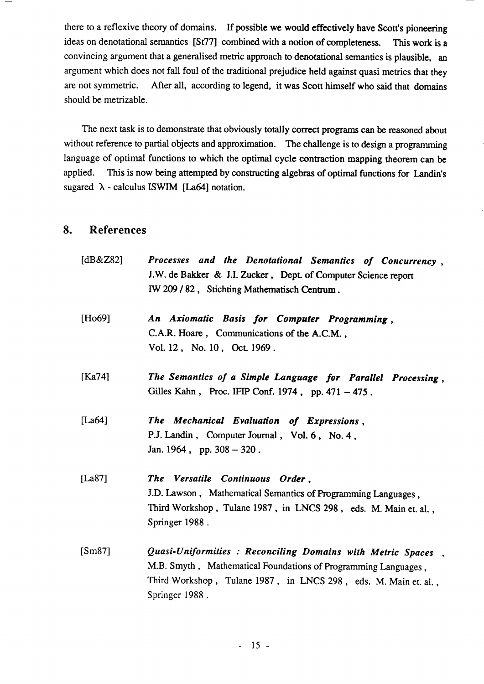there to a reflexive theory of domains. If possible we would effectively have Scott's pioneering ideas on denotational semantics [St77] combined with a notion of completeness. This work is <sup>a</sup> convincing argument that a generalised metric approach to denotational sernantics is plausible, an argument which does not fall foul of the traditional prejudice held against quasi metrics that they are not symmetric. After all, according to legend, it was Scott himself who said that domains should be metrizable.

The next task is to demonstrate that obviously totally corect programs can be reasoned about without reference to partial objects and approximation. The challenge is to design a programming language of optimal functions to which the optimal cycle contraction mapping theorem can be applied. This is now being attempted by constructing algebras of optimal functions for Landin's sugared  $\lambda$  - calculus ISWIM [La64] notation.

# 8. References

| [ $dB&Z82$ ] | Processes and the Denotational Semantics of Concurrency,<br>J.W. de Bakker & J.I. Zucker, Dept. of Computer Science report<br>IW 209 / 82, Stichting Mathematisch Centrum.                                          |  |
|--------------|---------------------------------------------------------------------------------------------------------------------------------------------------------------------------------------------------------------------|--|
| [Ho69]       | An Axiomatic Basis for Computer Programming,<br>C.A.R. Hoare, Communications of the A.C.M.,<br>Vol. 12, No. 10, Oct. 1969.                                                                                          |  |
| [Ka74]       | The Semantics of a Simple Language for Parallel Processing,<br>Gilles Kahn, Proc. IFIP Conf. 1974, pp. 471 - 475.                                                                                                   |  |
| [La $64$ ]   | The Mechanical Evaluation of Expressions,<br>P.J. Landin, Computer Journal, Vol. 6, No. 4,<br>Jan. 1964, pp. $308 - 320$ .                                                                                          |  |
| [La87]       | The Versatile Continuous Order,<br>J.D. Lawson, Mathematical Semantics of Programming Languages,<br>Third Workshop, Tulane 1987, in LNCS 298, eds. M. Main et. al.,<br>Springer 1988.                               |  |
| [Sm87]       | Quasi-Uniformities : Reconciling Domains with Metric Spaces,<br>M.B. Smyth, Mathematical Foundations of Programming Languages,<br>Third Workshop, Tulane 1987, in LNCS 298, eds. M. Main et. al.,<br>Springer 1988. |  |